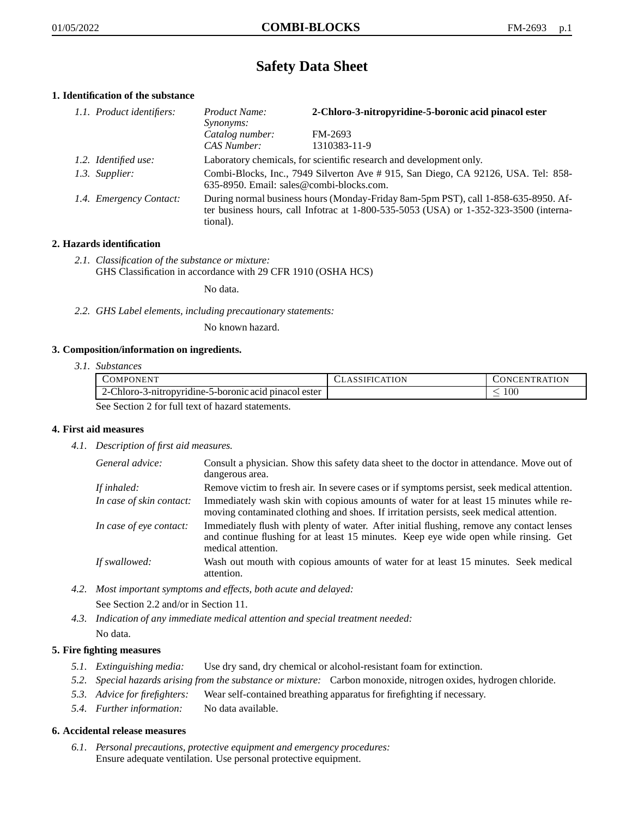# **Safety Data Sheet**

# **1. Identification of the substance**

| 1.1. Product identifiers: | <i>Product Name:</i><br>Synonyms:                                                                                                                                                       | 2-Chloro-3-nitropyridine-5-boronic acid pinacol ester |
|---------------------------|-----------------------------------------------------------------------------------------------------------------------------------------------------------------------------------------|-------------------------------------------------------|
|                           | Catalog number:<br>CAS Number:                                                                                                                                                          | FM-2693<br>1310383-11-9                               |
|                           |                                                                                                                                                                                         |                                                       |
| 1.2. Identified use:      | Laboratory chemicals, for scientific research and development only.                                                                                                                     |                                                       |
| 1.3. Supplier:            | Combi-Blocks, Inc., 7949 Silverton Ave # 915, San Diego, CA 92126, USA. Tel: 858-<br>635-8950. Email: sales@combi-blocks.com.                                                           |                                                       |
| 1.4. Emergency Contact:   | During normal business hours (Monday-Friday 8am-5pm PST), call 1-858-635-8950. Af-<br>ter business hours, call Infotrac at 1-800-535-5053 (USA) or 1-352-323-3500 (interna-<br>tional). |                                                       |

# **2. Hazards identification**

*2.1. Classification of the substance or mixture:* GHS Classification in accordance with 29 CFR 1910 (OSHA HCS)

No data.

*2.2. GHS Label elements, including precautionary statements:*

No known hazard.

#### **3. Composition/information on ingredients.**

*3.1. Substances*

| COMPONENT                                             | <b>CLASSIFICATION</b> | CONCENTRATION |  |
|-------------------------------------------------------|-----------------------|---------------|--|
| 2-Chloro-3-nitropyridine-5-boronic acid pinacol ester |                       | 10C           |  |
| Soo Soction 2 for full toxt of hazard statements      |                       |               |  |

See Section 2 for full text of hazard statements.

#### **4. First aid measures**

*4.1. Description of first aid measures.*

| General advice:          | Consult a physician. Show this safety data sheet to the doctor in attendance. Move out of<br>dangerous area.                                                                                            |
|--------------------------|---------------------------------------------------------------------------------------------------------------------------------------------------------------------------------------------------------|
| If inhaled:              | Remove victim to fresh air. In severe cases or if symptoms persist, seek medical attention.                                                                                                             |
| In case of skin contact: | Immediately wash skin with copious amounts of water for at least 15 minutes while re-<br>moving contaminated clothing and shoes. If irritation persists, seek medical attention.                        |
| In case of eye contact:  | Immediately flush with plenty of water. After initial flushing, remove any contact lenses<br>and continue flushing for at least 15 minutes. Keep eye wide open while rinsing. Get<br>medical attention. |
| If swallowed:            | Wash out mouth with copious amounts of water for at least 15 minutes. Seek medical<br>attention.                                                                                                        |

*4.2. Most important symptoms and effects, both acute and delayed:*

See Section 2.2 and/or in Section 11.

*4.3. Indication of any immediate medical attention and special treatment needed:* No data.

# **5. Fire fighting measures**

- *5.1. Extinguishing media:* Use dry sand, dry chemical or alcohol-resistant foam for extinction.
- *5.2. Special hazards arising from the substance or mixture:* Carbon monoxide, nitrogen oxides, hydrogen chloride.
- *5.3. Advice for firefighters:* Wear self-contained breathing apparatus for firefighting if necessary.
- *5.4. Further information:* No data available.

#### **6. Accidental release measures**

*6.1. Personal precautions, protective equipment and emergency procedures:* Ensure adequate ventilation. Use personal protective equipment.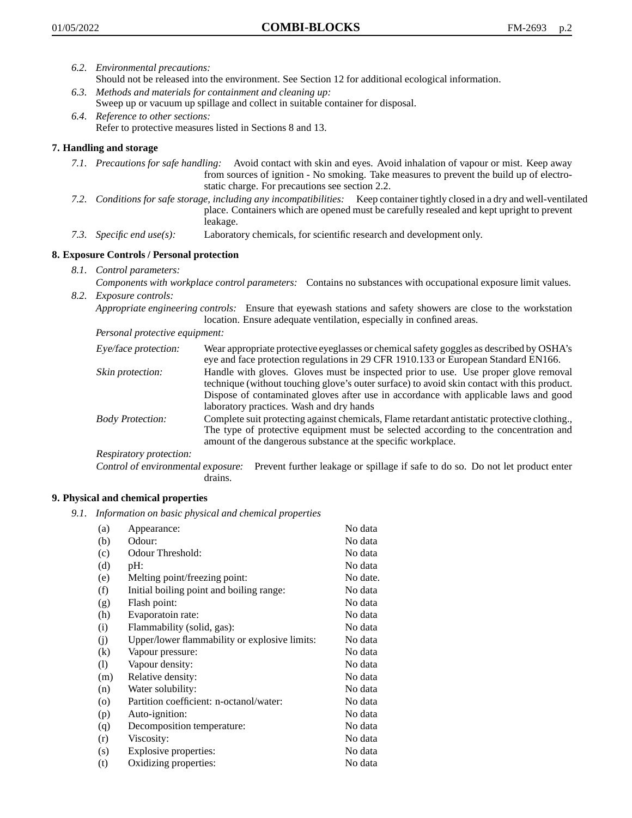- *6.2. Environmental precautions:* Should not be released into the environment. See Section 12 for additional ecological information.
- *6.3. Methods and materials for containment and cleaning up:* Sweep up or vacuum up spillage and collect in suitable container for disposal.
- *6.4. Reference to other sections:* Refer to protective measures listed in Sections 8 and 13.

## **7. Handling and storage**

- *7.1. Precautions for safe handling:* Avoid contact with skin and eyes. Avoid inhalation of vapour or mist. Keep away from sources of ignition - No smoking. Take measures to prevent the build up of electrostatic charge. For precautions see section 2.2.
- *7.2. Conditions for safe storage, including any incompatibilities:* Keep container tightly closed in a dry and well-ventilated place. Containers which are opened must be carefully resealed and kept upright to prevent leakage.
- *7.3. Specific end use(s):* Laboratory chemicals, for scientific research and development only.

## **8. Exposure Controls / Personal protection**

- *8.1. Control parameters:*
- *Components with workplace control parameters:* Contains no substances with occupational exposure limit values. *8.2. Exposure controls:*

*Appropriate engineering controls:* Ensure that eyewash stations and safety showers are close to the workstation location. Ensure adequate ventilation, especially in confined areas.

*Personal protective equipment:*

| Eye/face protection:    | Wear appropriate protective eyeglasses or chemical safety goggles as described by OSHA's<br>eye and face protection regulations in 29 CFR 1910.133 or European Standard EN166.                                                                                                                                         |
|-------------------------|------------------------------------------------------------------------------------------------------------------------------------------------------------------------------------------------------------------------------------------------------------------------------------------------------------------------|
| Skin protection:        | Handle with gloves. Gloves must be inspected prior to use. Use proper glove removal<br>technique (without touching glove's outer surface) to avoid skin contact with this product.<br>Dispose of contaminated gloves after use in accordance with applicable laws and good<br>laboratory practices. Wash and dry hands |
| <b>Body Protection:</b> | Complete suit protecting against chemicals, Flame retardant antistatic protective clothing.,<br>The type of protective equipment must be selected according to the concentration and<br>amount of the dangerous substance at the specific workplace.                                                                   |
| Respiratory protection: |                                                                                                                                                                                                                                                                                                                        |

Control of environmental exposure: Prevent further leakage or spillage if safe to do so. Do not let product enter drains.

#### **9. Physical and chemical properties**

*9.1. Information on basic physical and chemical properties*

| (a)               | Appearance:                                   | No data  |
|-------------------|-----------------------------------------------|----------|
| (b)               | Odour:                                        | No data  |
| (c)               | Odour Threshold:                              | No data  |
| (d)               | pH:                                           | No data  |
| (e)               | Melting point/freezing point:                 | No date. |
| (f)               | Initial boiling point and boiling range:      | No data  |
| (g)               | Flash point:                                  | No data  |
| (h)               | Evaporatoin rate:                             | No data  |
| (i)               | Flammability (solid, gas):                    | No data  |
| (j)               | Upper/lower flammability or explosive limits: | No data  |
| $\left( k\right)$ | Vapour pressure:                              | No data  |
| (1)               | Vapour density:                               | No data  |
| (m)               | Relative density:                             | No data  |
| (n)               | Water solubility:                             | No data  |
| $\circ$           | Partition coefficient: n-octanol/water:       | No data  |
| (p)               | Auto-ignition:                                | No data  |
| (q)               | Decomposition temperature:                    | No data  |
| (r)               | Viscosity:                                    | No data  |
| (s)               | Explosive properties:                         | No data  |
| (t)               | Oxidizing properties:                         | No data  |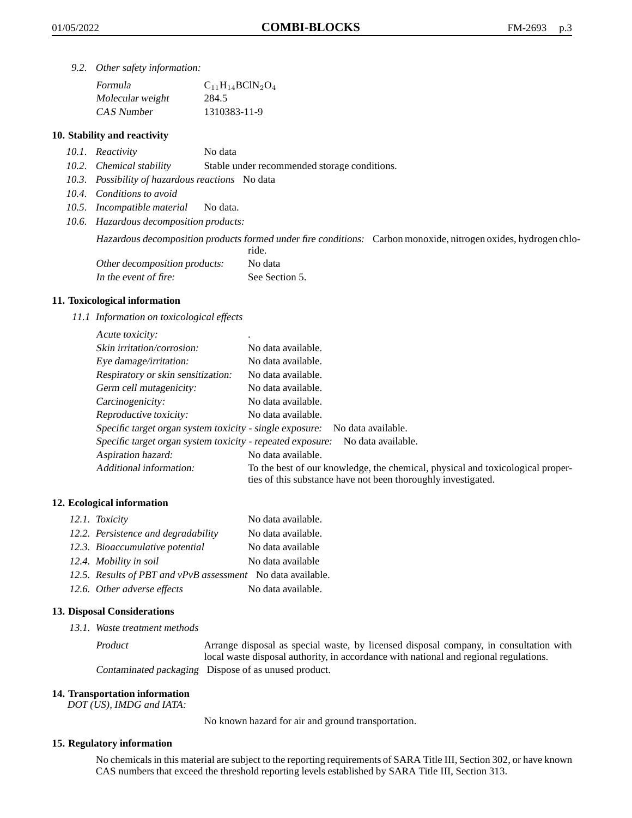*9.2. Other safety information:*

| Formula          | $C_{11}H_{14}BCIN_2O_4$ |
|------------------|-------------------------|
| Molecular weight | 284.5                   |
| CAS Number       | 1310383-11-9            |

### **10. Stability and reactivity**

- *10.1. Reactivity* No data
- *10.2. Chemical stability* Stable under recommended storage conditions.
- *10.3. Possibility of hazardous reactions* No data
- *10.4. Conditions to avoid*
- *10.5. Incompatible material* No data.
- *10.6. Hazardous decomposition products:*

Hazardous decomposition products formed under fire conditions: Carbon monoxide, nitrogen oxides, hydrogen chlo-

|                               | ride.          |
|-------------------------------|----------------|
| Other decomposition products: | No data        |
| In the event of fire:         | See Section 5. |

#### **11. Toxicological information**

*11.1 Information on toxicological effects*

| Acute toxicity:                                            | ٠                                                                                                                                               |
|------------------------------------------------------------|-------------------------------------------------------------------------------------------------------------------------------------------------|
| Skin irritation/corrosion:                                 | No data available.                                                                                                                              |
| Eye damage/irritation:                                     | No data available.                                                                                                                              |
| Respiratory or skin sensitization:                         | No data available.                                                                                                                              |
| Germ cell mutagenicity:                                    | No data available.                                                                                                                              |
| Carcinogenicity:                                           | No data available.                                                                                                                              |
| Reproductive toxicity:                                     | No data available.                                                                                                                              |
| Specific target organ system toxicity - single exposure:   | No data available.                                                                                                                              |
| Specific target organ system toxicity - repeated exposure: | No data available.                                                                                                                              |
| Aspiration hazard:                                         | No data available.                                                                                                                              |
| Additional information:                                    | To the best of our knowledge, the chemical, physical and toxicological proper-<br>ties of this substance have not been thoroughly investigated. |

#### **12. Ecological information**

| 12.1. Toxicity                                              | No data available. |
|-------------------------------------------------------------|--------------------|
| 12.2. Persistence and degradability                         | No data available. |
| 12.3. Bioaccumulative potential                             | No data available  |
| 12.4. Mobility in soil                                      | No data available  |
| 12.5. Results of PBT and vPvB assessment No data available. |                    |
| 12.6. Other adverse effects                                 | No data available. |

#### **13. Disposal Considerations**

*13.1. Waste treatment methods*

Product Arrange disposal as special waste, by licensed disposal company, in consultation with local waste disposal authority, in accordance with national and regional regulations. Contaminated packaging Dispose of as unused product.

#### **14. Transportation information**

*DOT (US), IMDG and IATA:*

No known hazard for air and ground transportation.

#### **15. Regulatory information**

No chemicals in this material are subject to the reporting requirements of SARA Title III, Section 302, or have known CAS numbers that exceed the threshold reporting levels established by SARA Title III, Section 313.